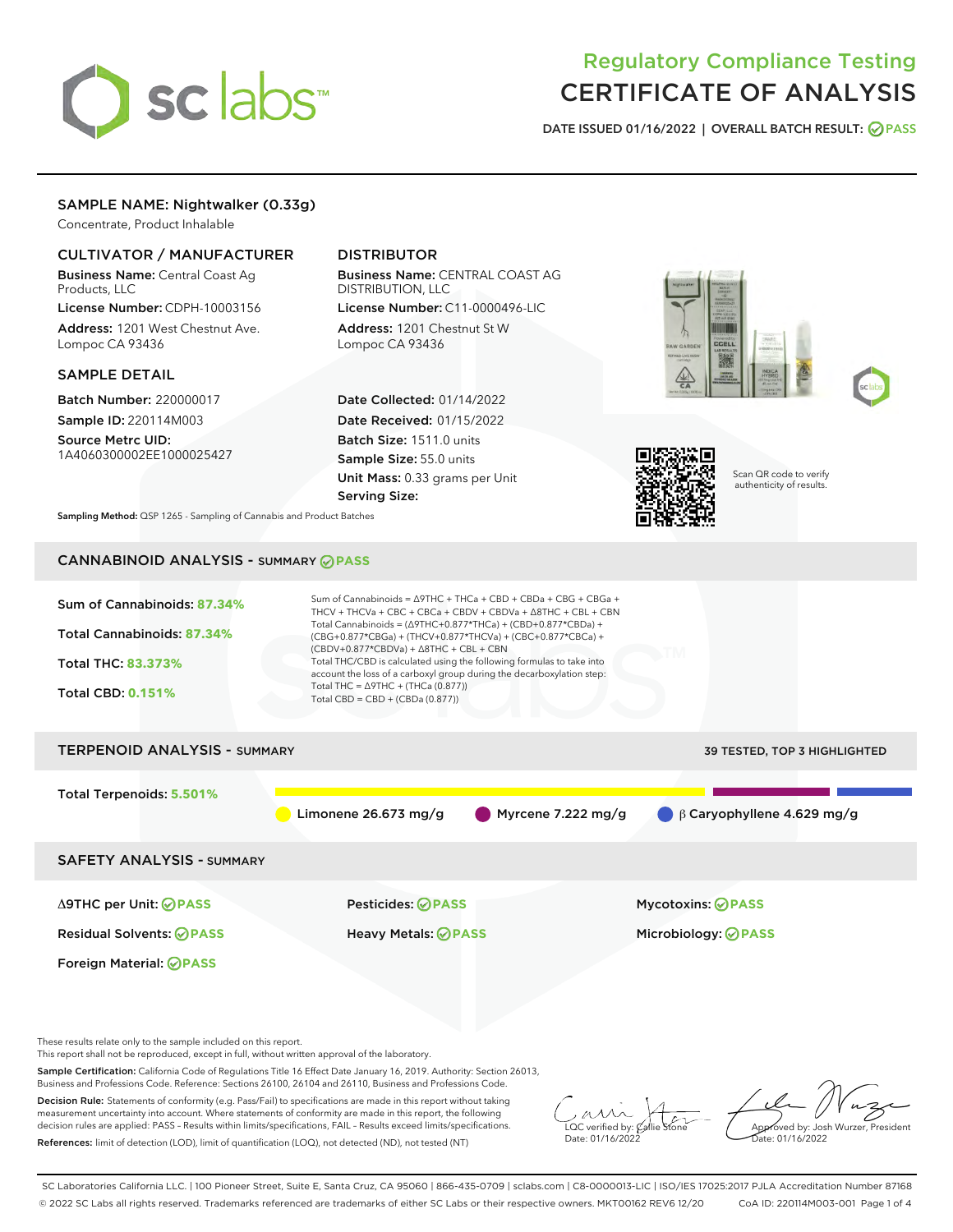# sclabs<sup>\*</sup>

# Regulatory Compliance Testing CERTIFICATE OF ANALYSIS

DATE ISSUED 01/16/2022 | OVERALL BATCH RESULT: @ PASS

# SAMPLE NAME: Nightwalker (0.33g)

Concentrate, Product Inhalable

## CULTIVATOR / MANUFACTURER

Business Name: Central Coast Ag Products, LLC License Number: CDPH-10003156

Address: 1201 West Chestnut Ave. Lompoc CA 93436

#### SAMPLE DETAIL

Batch Number: 220000017 Sample ID: 220114M003

Source Metrc UID: 1A4060300002EE1000025427

# DISTRIBUTOR

Business Name: CENTRAL COAST AG DISTRIBUTION, LLC License Number: C11-0000496-LIC

Address: 1201 Chestnut St W Lompoc CA 93436

Date Collected: 01/14/2022 Date Received: 01/15/2022 Batch Size: 1511.0 units Sample Size: 55.0 units Unit Mass: 0.33 grams per Unit Serving Size:





Scan QR code to verify authenticity of results.

Sampling Method: QSP 1265 - Sampling of Cannabis and Product Batches

# CANNABINOID ANALYSIS - SUMMARY **PASS**



These results relate only to the sample included on this report.

This report shall not be reproduced, except in full, without written approval of the laboratory.

Sample Certification: California Code of Regulations Title 16 Effect Date January 16, 2019. Authority: Section 26013, Business and Professions Code. Reference: Sections 26100, 26104 and 26110, Business and Professions Code.

Decision Rule: Statements of conformity (e.g. Pass/Fail) to specifications are made in this report without taking measurement uncertainty into account. Where statements of conformity are made in this report, the following decision rules are applied: PASS – Results within limits/specifications, FAIL – Results exceed limits/specifications. References: limit of detection (LOD), limit of quantification (LOQ), not detected (ND), not tested (NT)

 $\overline{\text{C}}$  verified by:  $\mathcal C$ Date: 01/16/2022

**A**<br>Approved by: Josh Wurzer, President te: 01/16/2022

SC Laboratories California LLC. | 100 Pioneer Street, Suite E, Santa Cruz, CA 95060 | 866-435-0709 | sclabs.com | C8-0000013-LIC | ISO/IES 17025:2017 PJLA Accreditation Number 87168 © 2022 SC Labs all rights reserved. Trademarks referenced are trademarks of either SC Labs or their respective owners. MKT00162 REV6 12/20 CoA ID: 220114M003-001 Page 1 of 4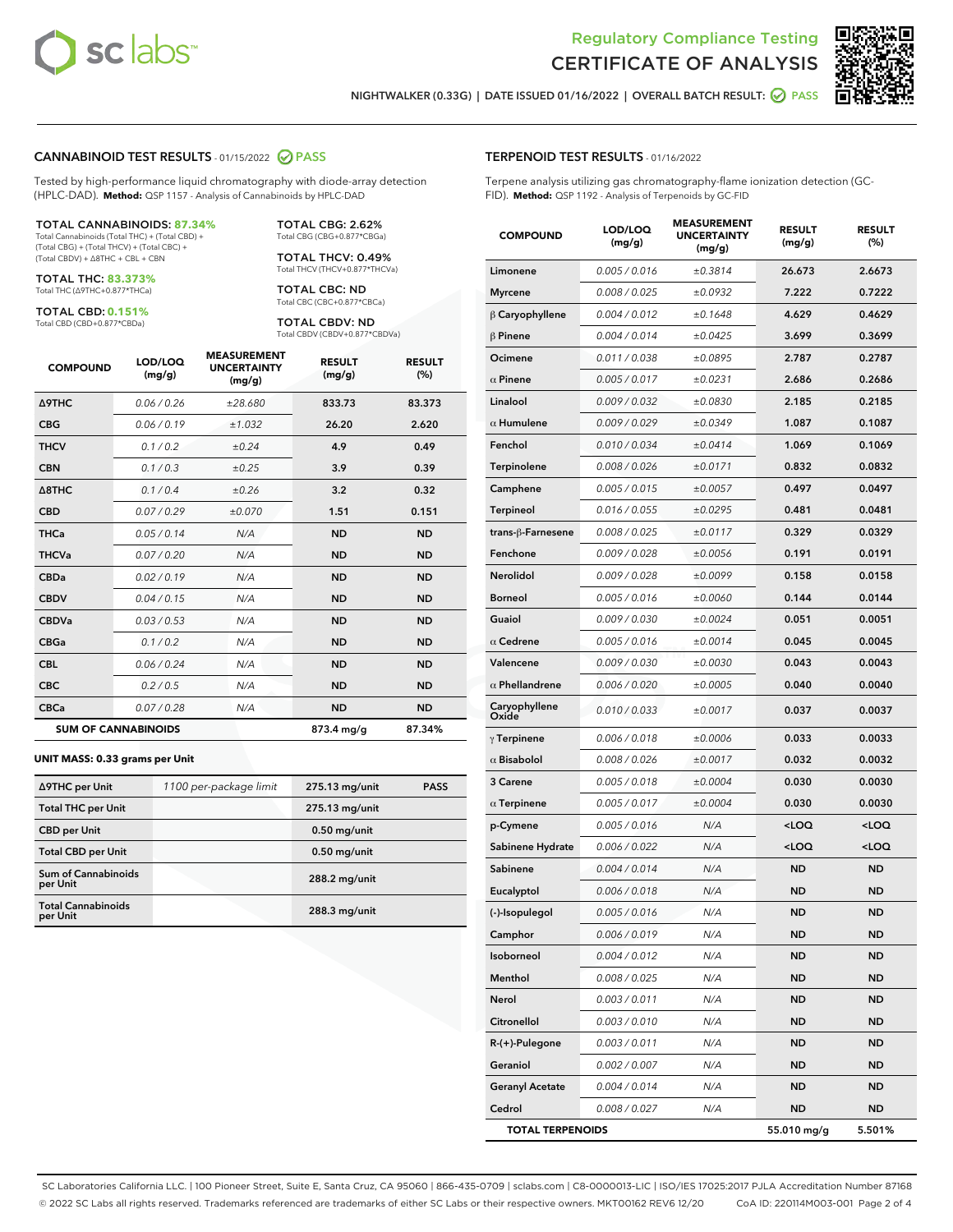



NIGHTWALKER (0.33G) | DATE ISSUED 01/16/2022 | OVERALL BATCH RESULT: **● PASS** 

#### CANNABINOID TEST RESULTS - 01/15/2022 2 PASS

Tested by high-performance liquid chromatography with diode-array detection (HPLC-DAD). **Method:** QSP 1157 - Analysis of Cannabinoids by HPLC-DAD

#### TOTAL CANNABINOIDS: **87.34%**

Total Cannabinoids (Total THC) + (Total CBD) + (Total CBG) + (Total THCV) + (Total CBC) + (Total CBDV) + ∆8THC + CBL + CBN

TOTAL THC: **83.373%** Total THC (∆9THC+0.877\*THCa)

TOTAL CBD: **0.151%** Total CBD (CBD+0.877\*CBDa)

Total THCV (THCV+0.877\*THCVa) TOTAL CBC: ND

Total CBC (CBC+0.877\*CBCa) TOTAL CBDV: ND

TOTAL CBG: 2.62% Total CBG (CBG+0.877\*CBGa) TOTAL THCV: 0.49%

Total CBDV (CBDV+0.877\*CBDVa)

| <b>COMPOUND</b>            | LOD/LOQ<br>(mg/g) | <b>MEASUREMENT</b><br><b>UNCERTAINTY</b><br>(mg/g) | <b>RESULT</b><br>(mg/g) | <b>RESULT</b><br>(%) |
|----------------------------|-------------------|----------------------------------------------------|-------------------------|----------------------|
| <b>A9THC</b>               | 0.06 / 0.26       | ±28,680                                            | 833.73                  | 83.373               |
| <b>CBG</b>                 | 0.06/0.19         | ±1.032                                             | 26.20                   | 2.620                |
| <b>THCV</b>                | 0.1 / 0.2         | ±0.24                                              | 4.9                     | 0.49                 |
| <b>CBN</b>                 | 0.1 / 0.3         | ±0.25                                              | 3.9                     | 0.39                 |
| $\triangle$ 8THC           | 0.1 / 0.4         | ±0.26                                              | 3.2                     | 0.32                 |
| <b>CBD</b>                 | 0.07/0.29         | ±0.070                                             | 1.51                    | 0.151                |
| <b>THCa</b>                | 0.05/0.14         | N/A                                                | <b>ND</b>               | <b>ND</b>            |
| <b>THCVa</b>               | 0.07/0.20         | N/A                                                | <b>ND</b>               | <b>ND</b>            |
| <b>CBDa</b>                | 0.02/0.19         | N/A                                                | <b>ND</b>               | <b>ND</b>            |
| <b>CBDV</b>                | 0.04/0.15         | N/A                                                | <b>ND</b>               | <b>ND</b>            |
| <b>CBDVa</b>               | 0.03/0.53         | N/A                                                | <b>ND</b>               | <b>ND</b>            |
| <b>CBGa</b>                | 0.1/0.2           | N/A                                                | <b>ND</b>               | <b>ND</b>            |
| <b>CBL</b>                 | 0.06 / 0.24       | N/A                                                | <b>ND</b>               | <b>ND</b>            |
| <b>CBC</b>                 | 0.2 / 0.5         | N/A                                                | <b>ND</b>               | <b>ND</b>            |
| <b>CBCa</b>                | 0.07/0.28         | N/A                                                | <b>ND</b>               | <b>ND</b>            |
| <b>SUM OF CANNABINOIDS</b> |                   |                                                    | 873.4 mg/g              | 87.34%               |

#### **UNIT MASS: 0.33 grams per Unit**

| ∆9THC per Unit                         | 1100 per-package limit | 275.13 mg/unit  | <b>PASS</b> |
|----------------------------------------|------------------------|-----------------|-------------|
| <b>Total THC per Unit</b>              |                        | 275.13 mg/unit  |             |
| <b>CBD per Unit</b>                    |                        | $0.50$ mg/unit  |             |
| <b>Total CBD per Unit</b>              |                        | $0.50$ mg/unit  |             |
| <b>Sum of Cannabinoids</b><br>per Unit |                        | 288.2 mg/unit   |             |
| <b>Total Cannabinoids</b><br>per Unit  |                        | $288.3$ mg/unit |             |

| <b>COMPOUND</b>         | LOD/LOQ<br>(mg/g) | <b>MEASUREMENT</b><br><b>UNCERTAINTY</b><br>(mg/g) | <b>RESULT</b><br>(mg/g)                         | <b>RESULT</b><br>(%) |
|-------------------------|-------------------|----------------------------------------------------|-------------------------------------------------|----------------------|
| Limonene                | 0.005 / 0.016     | ±0.3814                                            | 26.673                                          | 2.6673               |
| <b>Myrcene</b>          | 0.008 / 0.025     | ±0.0932                                            | 7.222                                           | 0.7222               |
| $\beta$ Caryophyllene   | 0.004 / 0.012     | ±0.1648                                            | 4.629                                           | 0.4629               |
| $\beta$ Pinene          | 0.004 / 0.014     | ±0.0425                                            | 3.699                                           | 0.3699               |
| Ocimene                 | 0.011 / 0.038     | ±0.0895                                            | 2.787                                           | 0.2787               |
| $\alpha$ Pinene         | 0.005 / 0.017     | ±0.0231                                            | 2.686                                           | 0.2686               |
| Linalool                | 0.009 / 0.032     | ±0.0830                                            | 2.185                                           | 0.2185               |
| $\alpha$ Humulene       | 0.009/0.029       | ±0.0349                                            | 1.087                                           | 0.1087               |
| Fenchol                 | 0.010 / 0.034     | ±0.0414                                            | 1.069                                           | 0.1069               |
| Terpinolene             | 0.008 / 0.026     | ±0.0171                                            | 0.832                                           | 0.0832               |
| Camphene                | 0.005 / 0.015     | ±0.0057                                            | 0.497                                           | 0.0497               |
| <b>Terpineol</b>        | 0.016 / 0.055     | ±0.0295                                            | 0.481                                           | 0.0481               |
| trans-ß-Farnesene       | 0.008 / 0.025     | ±0.0117                                            | 0.329                                           | 0.0329               |
| Fenchone                | 0.009 / 0.028     | ±0.0056                                            | 0.191                                           | 0.0191               |
| <b>Nerolidol</b>        | 0.009 / 0.028     | ±0.0099                                            | 0.158                                           | 0.0158               |
| <b>Borneol</b>          | 0.005 / 0.016     | ±0.0060                                            | 0.144                                           | 0.0144               |
| Guaiol                  | 0.009 / 0.030     | ±0.0024                                            | 0.051                                           | 0.0051               |
| $\alpha$ Cedrene        | 0.005 / 0.016     | ±0.0014                                            | 0.045                                           | 0.0045               |
| Valencene               | 0.009 / 0.030     | ±0.0030                                            | 0.043                                           | 0.0043               |
| $\alpha$ Phellandrene   | 0.006 / 0.020     | ±0.0005                                            | 0.040                                           | 0.0040               |
| Caryophyllene<br>Oxide  | 0.010 / 0.033     | ±0.0017                                            | 0.037                                           | 0.0037               |
| $\gamma$ Terpinene      | 0.006 / 0.018     | ±0.0006                                            | 0.033                                           | 0.0033               |
| $\alpha$ Bisabolol      | 0.008 / 0.026     | ±0.0017                                            | 0.032                                           | 0.0032               |
| 3 Carene                | 0.005 / 0.018     | ±0.0004                                            | 0.030                                           | 0.0030               |
| $\alpha$ Terpinene      | 0.005 / 0.017     | ±0.0004                                            | 0.030                                           | 0.0030               |
| p-Cymene                | 0.005 / 0.016     | N/A                                                | <loq< th=""><th><loq< th=""></loq<></th></loq<> | <loq< th=""></loq<>  |
| Sabinene Hydrate        | 0.006 / 0.022     | N/A                                                | <loq< th=""><th><loq< th=""></loq<></th></loq<> | <loq< th=""></loq<>  |
| Sabinene                | 0.004 / 0.014     | N/A                                                | <b>ND</b>                                       | <b>ND</b>            |
| Eucalyptol              | 0.006 / 0.018     | N/A                                                | ND                                              | <b>ND</b>            |
| (-)-Isopulegol          | 0.005 / 0.016     | N/A                                                | <b>ND</b>                                       | ND                   |
| Camphor                 | 0.006 / 0.019     | N/A                                                | ND                                              | ND                   |
| Isoborneol              | 0.004 / 0.012     | N/A                                                | ND                                              | ND                   |
| Menthol                 | 0.008 / 0.025     | N/A                                                | ND                                              | ND                   |
| Nerol                   | 0.003 / 0.011     | N/A                                                | <b>ND</b>                                       | ND                   |
| Citronellol             | 0.003 / 0.010     | N/A                                                | ND                                              | ND                   |
| R-(+)-Pulegone          | 0.003 / 0.011     | N/A                                                | ND                                              | ND                   |
| Geraniol                | 0.002 / 0.007     | N/A                                                | <b>ND</b>                                       | ND                   |
| <b>Geranyl Acetate</b>  | 0.004 / 0.014     | N/A                                                | ND                                              | ND                   |
| Cedrol                  | 0.008 / 0.027     | N/A                                                | ND                                              | ND                   |
| <b>TOTAL TERPENOIDS</b> |                   |                                                    | 55.010 mg/g                                     | 5.501%               |

SC Laboratories California LLC. | 100 Pioneer Street, Suite E, Santa Cruz, CA 95060 | 866-435-0709 | sclabs.com | C8-0000013-LIC | ISO/IES 17025:2017 PJLA Accreditation Number 87168 © 2022 SC Labs all rights reserved. Trademarks referenced are trademarks of either SC Labs or their respective owners. MKT00162 REV6 12/20 CoA ID: 220114M003-001 Page 2 of 4

## TERPENOID TEST RESULTS - 01/16/2022

Terpene analysis utilizing gas chromatography-flame ionization detection (GC-FID). **Method:** QSP 1192 - Analysis of Terpenoids by GC-FID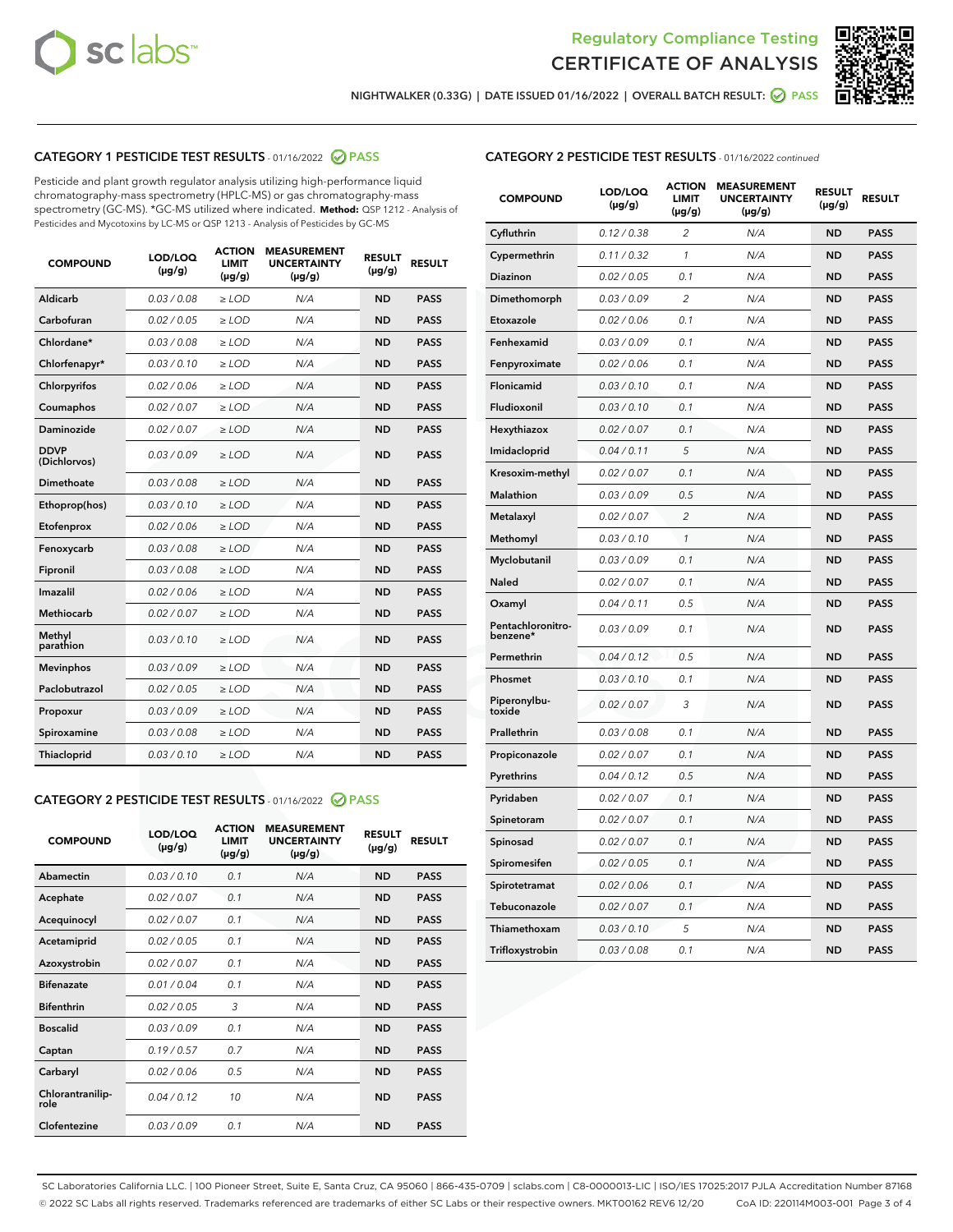



NIGHTWALKER (0.33G) | DATE ISSUED 01/16/2022 | OVERALL BATCH RESULT: **⊘** PASS

# CATEGORY 1 PESTICIDE TEST RESULTS - 01/16/2022 2 PASS

Pesticide and plant growth regulator analysis utilizing high-performance liquid chromatography-mass spectrometry (HPLC-MS) or gas chromatography-mass spectrometry (GC-MS). \*GC-MS utilized where indicated. **Method:** QSP 1212 - Analysis of Pesticides and Mycotoxins by LC-MS or QSP 1213 - Analysis of Pesticides by GC-MS

| <b>COMPOUND</b>             | LOD/LOQ<br>$(\mu g/g)$ | <b>ACTION</b><br><b>LIMIT</b><br>$(\mu q/q)$ | <b>MEASUREMENT</b><br><b>UNCERTAINTY</b><br>$(\mu g/g)$ | <b>RESULT</b><br>$(\mu g/g)$ | <b>RESULT</b> |
|-----------------------------|------------------------|----------------------------------------------|---------------------------------------------------------|------------------------------|---------------|
| Aldicarb                    | 0.03 / 0.08            | $\ge$ LOD                                    | N/A                                                     | <b>ND</b>                    | <b>PASS</b>   |
| Carbofuran                  | 0.02 / 0.05            | $\ge$ LOD                                    | N/A                                                     | <b>ND</b>                    | <b>PASS</b>   |
| Chlordane*                  | 0.03 / 0.08            | $\ge$ LOD                                    | N/A                                                     | <b>ND</b>                    | <b>PASS</b>   |
| Chlorfenapyr*               | 0.03/0.10              | $\ge$ LOD                                    | N/A                                                     | <b>ND</b>                    | <b>PASS</b>   |
| Chlorpyrifos                | 0.02 / 0.06            | $\ge$ LOD                                    | N/A                                                     | <b>ND</b>                    | <b>PASS</b>   |
| Coumaphos                   | 0.02 / 0.07            | $\ge$ LOD                                    | N/A                                                     | <b>ND</b>                    | <b>PASS</b>   |
| Daminozide                  | 0.02 / 0.07            | $\ge$ LOD                                    | N/A                                                     | <b>ND</b>                    | <b>PASS</b>   |
| <b>DDVP</b><br>(Dichlorvos) | 0.03/0.09              | $\ge$ LOD                                    | N/A                                                     | <b>ND</b>                    | <b>PASS</b>   |
| Dimethoate                  | 0.03 / 0.08            | $\ge$ LOD                                    | N/A                                                     | <b>ND</b>                    | <b>PASS</b>   |
| Ethoprop(hos)               | 0.03/0.10              | $\ge$ LOD                                    | N/A                                                     | <b>ND</b>                    | <b>PASS</b>   |
| Etofenprox                  | 0.02/0.06              | $>$ LOD                                      | N/A                                                     | <b>ND</b>                    | <b>PASS</b>   |
| Fenoxycarb                  | 0.03 / 0.08            | $\ge$ LOD                                    | N/A                                                     | <b>ND</b>                    | <b>PASS</b>   |
| Fipronil                    | 0.03/0.08              | $>$ LOD                                      | N/A                                                     | <b>ND</b>                    | <b>PASS</b>   |
| Imazalil                    | 0.02 / 0.06            | $\ge$ LOD                                    | N/A                                                     | <b>ND</b>                    | <b>PASS</b>   |
| Methiocarb                  | 0.02 / 0.07            | $\ge$ LOD                                    | N/A                                                     | <b>ND</b>                    | <b>PASS</b>   |
| Methyl<br>parathion         | 0.03/0.10              | $>$ LOD                                      | N/A                                                     | <b>ND</b>                    | <b>PASS</b>   |
| <b>Mevinphos</b>            | 0.03/0.09              | $>$ LOD                                      | N/A                                                     | <b>ND</b>                    | <b>PASS</b>   |
| Paclobutrazol               | 0.02 / 0.05            | $>$ LOD                                      | N/A                                                     | <b>ND</b>                    | <b>PASS</b>   |
| Propoxur                    | 0.03/0.09              | $\ge$ LOD                                    | N/A                                                     | <b>ND</b>                    | <b>PASS</b>   |
| Spiroxamine                 | 0.03 / 0.08            | $\ge$ LOD                                    | N/A                                                     | <b>ND</b>                    | <b>PASS</b>   |
| Thiacloprid                 | 0.03/0.10              | $\ge$ LOD                                    | N/A                                                     | <b>ND</b>                    | <b>PASS</b>   |

#### CATEGORY 2 PESTICIDE TEST RESULTS - 01/16/2022 2 PASS

| <b>COMPOUND</b>          | LOD/LOQ<br>$(\mu g/g)$ | <b>ACTION</b><br><b>LIMIT</b><br>$(\mu g/g)$ | <b>MEASUREMENT</b><br><b>UNCERTAINTY</b><br>$(\mu g/g)$ | <b>RESULT</b><br>$(\mu g/g)$ | <b>RESULT</b> |
|--------------------------|------------------------|----------------------------------------------|---------------------------------------------------------|------------------------------|---------------|
| Abamectin                | 0.03/0.10              | 0.1                                          | N/A                                                     | <b>ND</b>                    | <b>PASS</b>   |
| Acephate                 | 0.02/0.07              | 0.1                                          | N/A                                                     | <b>ND</b>                    | <b>PASS</b>   |
| Acequinocyl              | 0.02/0.07              | 0.1                                          | N/A                                                     | <b>ND</b>                    | <b>PASS</b>   |
| Acetamiprid              | 0.02/0.05              | 0.1                                          | N/A                                                     | <b>ND</b>                    | <b>PASS</b>   |
| Azoxystrobin             | 0.02/0.07              | 0.1                                          | N/A                                                     | <b>ND</b>                    | <b>PASS</b>   |
| <b>Bifenazate</b>        | 0.01/0.04              | 0.1                                          | N/A                                                     | <b>ND</b>                    | <b>PASS</b>   |
| <b>Bifenthrin</b>        | 0.02 / 0.05            | 3                                            | N/A                                                     | <b>ND</b>                    | <b>PASS</b>   |
| <b>Boscalid</b>          | 0.03/0.09              | 0.1                                          | N/A                                                     | <b>ND</b>                    | <b>PASS</b>   |
| Captan                   | 0.19/0.57              | 0.7                                          | N/A                                                     | <b>ND</b>                    | <b>PASS</b>   |
| Carbaryl                 | 0.02/0.06              | 0.5                                          | N/A                                                     | <b>ND</b>                    | <b>PASS</b>   |
| Chlorantranilip-<br>role | 0.04/0.12              | 10                                           | N/A                                                     | <b>ND</b>                    | <b>PASS</b>   |
| Clofentezine             | 0.03/0.09              | 0.1                                          | N/A                                                     | <b>ND</b>                    | <b>PASS</b>   |

| <b>COMPOUND</b>               | LOD/LOQ<br>(µg/g) | <b>ACTION</b><br>LIMIT<br>(µg/g) | <b>MEASUREMENT</b><br><b>UNCERTAINTY</b><br>(µg/g) | <b>RESULT</b><br>(µg/g) | <b>RESULT</b> |
|-------------------------------|-------------------|----------------------------------|----------------------------------------------------|-------------------------|---------------|
| Cyfluthrin                    | 0.12 / 0.38       | $\overline{c}$                   | N/A                                                | <b>ND</b>               | <b>PASS</b>   |
| Cypermethrin                  | 0.11/0.32         | 1                                | N/A                                                | <b>ND</b>               | <b>PASS</b>   |
| Diazinon                      | 0.02 / 0.05       | 0.1                              | N/A                                                | <b>ND</b>               | <b>PASS</b>   |
| Dimethomorph                  | 0.03 / 0.09       | 2                                | N/A                                                | <b>ND</b>               | <b>PASS</b>   |
| Etoxazole                     | 0.02 / 0.06       | 0.1                              | N/A                                                | <b>ND</b>               | <b>PASS</b>   |
| Fenhexamid                    | 0.03 / 0.09       | 0.1                              | N/A                                                | <b>ND</b>               | <b>PASS</b>   |
| Fenpyroximate                 | 0.02 / 0.06       | 0.1                              | N/A                                                | <b>ND</b>               | <b>PASS</b>   |
| Flonicamid                    | 0.03 / 0.10       | 0.1                              | N/A                                                | <b>ND</b>               | <b>PASS</b>   |
| Fludioxonil                   | 0.03 / 0.10       | 0.1                              | N/A                                                | <b>ND</b>               | <b>PASS</b>   |
| Hexythiazox                   | 0.02 / 0.07       | 0.1                              | N/A                                                | <b>ND</b>               | <b>PASS</b>   |
| Imidacloprid                  | 0.04 / 0.11       | 5                                | N/A                                                | <b>ND</b>               | <b>PASS</b>   |
| Kresoxim-methyl               | 0.02 / 0.07       | 0.1                              | N/A                                                | <b>ND</b>               | <b>PASS</b>   |
| Malathion                     | 0.03 / 0.09       | 0.5                              | N/A                                                | <b>ND</b>               | <b>PASS</b>   |
| Metalaxyl                     | 0.02 / 0.07       | 2                                | N/A                                                | <b>ND</b>               | <b>PASS</b>   |
| Methomyl                      | 0.03 / 0.10       | $\mathcal{I}$                    | N/A                                                | <b>ND</b>               | <b>PASS</b>   |
| Myclobutanil                  | 0.03 / 0.09       | 0.1                              | N/A                                                | <b>ND</b>               | <b>PASS</b>   |
| Naled                         | 0.02 / 0.07       | 0.1                              | N/A                                                | <b>ND</b>               | <b>PASS</b>   |
| Oxamyl                        | 0.04 / 0.11       | 0.5                              | N/A                                                | <b>ND</b>               | <b>PASS</b>   |
| Pentachloronitro-<br>benzene* | 0.03 / 0.09       | 0.1                              | N/A                                                | <b>ND</b>               | <b>PASS</b>   |
| Permethrin                    | 0.04 / 0.12       | 0.5                              | N/A                                                | <b>ND</b>               | <b>PASS</b>   |
| Phosmet                       | 0.03 / 0.10       | 0.1                              | N/A                                                | <b>ND</b>               | <b>PASS</b>   |
| Piperonylbu-<br>toxide        | 0.02 / 0.07       | 3                                | N/A                                                | <b>ND</b>               | <b>PASS</b>   |
| Prallethrin                   | 0.03 / 0.08       | 0.1                              | N/A                                                | <b>ND</b>               | <b>PASS</b>   |
| Propiconazole                 | 0.02 / 0.07       | 0.1                              | N/A                                                | <b>ND</b>               | <b>PASS</b>   |
| Pyrethrins                    | 0.04 / 0.12       | 0.5                              | N/A                                                | <b>ND</b>               | <b>PASS</b>   |
| Pyridaben                     | 0.02 / 0.07       | 0.1                              | N/A                                                | <b>ND</b>               | <b>PASS</b>   |
| Spinetoram                    | 0.02 / 0.07       | 0.1                              | N/A                                                | <b>ND</b>               | <b>PASS</b>   |
| Spinosad                      | 0.02 / 0.07       | 0.1                              | N/A                                                | <b>ND</b>               | <b>PASS</b>   |
| Spiromesifen                  | 0.02 / 0.05       | 0.1                              | N/A                                                | <b>ND</b>               | <b>PASS</b>   |
| Spirotetramat                 | 0.02 / 0.06       | 0.1                              | N/A                                                | ND                      | <b>PASS</b>   |
| Tebuconazole                  | 0.02 / 0.07       | 0.1                              | N/A                                                | <b>ND</b>               | <b>PASS</b>   |
| Thiamethoxam                  | 0.03 / 0.10       | 5                                | N/A                                                | <b>ND</b>               | <b>PASS</b>   |
| Trifloxystrobin               | 0.03 / 0.08       | 0.1                              | N/A                                                | <b>ND</b>               | <b>PASS</b>   |

SC Laboratories California LLC. | 100 Pioneer Street, Suite E, Santa Cruz, CA 95060 | 866-435-0709 | sclabs.com | C8-0000013-LIC | ISO/IES 17025:2017 PJLA Accreditation Number 87168 © 2022 SC Labs all rights reserved. Trademarks referenced are trademarks of either SC Labs or their respective owners. MKT00162 REV6 12/20 CoA ID: 220114M003-001 Page 3 of 4